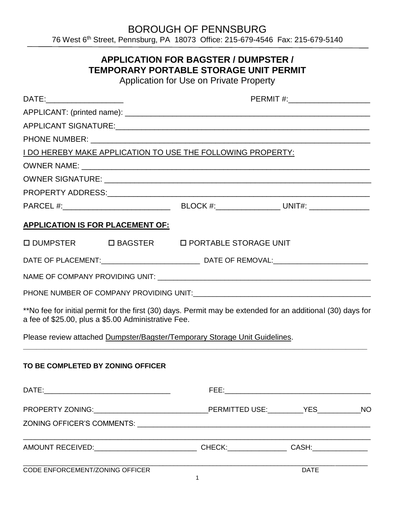BOROUGH OF PENNSBURG

76 West 6 th Street, Pennsburg, PA 18073 Office: 215-679-4546 Fax: 215-679-5140

## **APPLICATION FOR BAGSTER / DUMPSTER / TEMPORARY PORTABLE STORAGE UNIT PERMIT**

Application for Use on Private Property

| DATE:_______________________                                                                                                                                       | PERMIT #:________________________ |             |  |
|--------------------------------------------------------------------------------------------------------------------------------------------------------------------|-----------------------------------|-------------|--|
|                                                                                                                                                                    |                                   |             |  |
|                                                                                                                                                                    |                                   |             |  |
|                                                                                                                                                                    |                                   |             |  |
| I DO HEREBY MAKE APPLICATION TO USE THE FOLLOWING PROPERTY:                                                                                                        |                                   |             |  |
|                                                                                                                                                                    |                                   |             |  |
|                                                                                                                                                                    |                                   |             |  |
|                                                                                                                                                                    |                                   |             |  |
|                                                                                                                                                                    |                                   |             |  |
| <b>APPLICATION IS FOR PLACEMENT OF:</b>                                                                                                                            |                                   |             |  |
| □ DUMPSTER □ BAGSTER □ PORTABLE STORAGE UNIT                                                                                                                       |                                   |             |  |
|                                                                                                                                                                    |                                   |             |  |
|                                                                                                                                                                    |                                   |             |  |
|                                                                                                                                                                    |                                   |             |  |
| **No fee for initial permit for the first (30) days. Permit may be extended for an additional (30) days for<br>a fee of \$25.00, plus a \$5.00 Administrative Fee. |                                   |             |  |
| Please review attached Dumpster/Bagster/Temporary Storage Unit Guidelines.                                                                                         |                                   |             |  |
| TO BE COMPLETED BY ZONING OFFICER                                                                                                                                  |                                   |             |  |
|                                                                                                                                                                    |                                   |             |  |
|                                                                                                                                                                    |                                   |             |  |
|                                                                                                                                                                    |                                   |             |  |
| AMOUNT RECEIVED:__________________________________CHECK:_________________CASH:______________________                                                               |                                   |             |  |
| CODE ENFORCEMENT/ZONING OFFICER                                                                                                                                    |                                   | <b>DATE</b> |  |